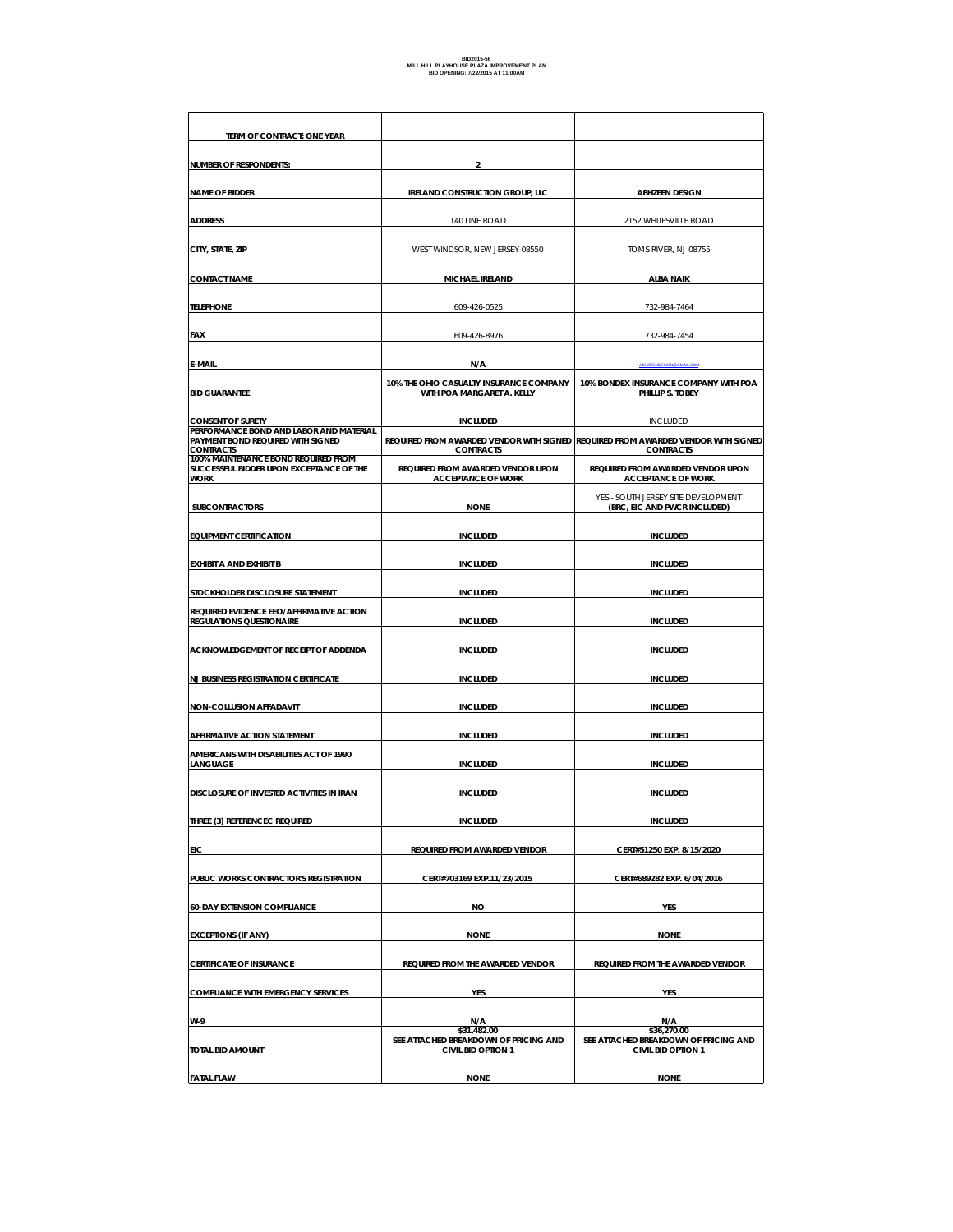| TERM OF CONTRACT: ONE YEAR                                                                       |                                                                                                       |                                                                     |
|--------------------------------------------------------------------------------------------------|-------------------------------------------------------------------------------------------------------|---------------------------------------------------------------------|
| <b>NUMBER OF RESPONDENTS:</b>                                                                    | $\overline{\mathbf{2}}$                                                                               |                                                                     |
| <b>NAME OF BIDDER</b>                                                                            | <b>IRELAND CONSTRUCTION GROUP, LLC</b>                                                                | <b>ABHZEEN DESIGN</b>                                               |
| <b>ADDRESS</b>                                                                                   | 140 LINE ROAD                                                                                         | 2152 WHITESVILLE ROAD                                               |
| CITY, STATE, ZIP                                                                                 | WEST WINDSOR, NEW JERSEY 08550                                                                        | TOMS RIVER, NJ 08755                                                |
| <b>CONTACT NAME</b>                                                                              | MICHAEL IRELAND                                                                                       | <b>ALBA NAIK</b>                                                    |
| <b>TELEPHONE</b>                                                                                 | 609-426-0525                                                                                          | 732-984-7464                                                        |
| FAX                                                                                              | 609-426-8976                                                                                          | 732-984-7454                                                        |
| E-MAIL                                                                                           | N/A                                                                                                   | <b>HZEENDESIGN @GMAIL.CO</b>                                        |
| <b>BID GUARANTEE</b>                                                                             | 10% THE OHIO CASUALTY INSURANCE COMPANY<br>WITH POA MARGARET A. KELLY                                 | 10% BONDEX INSURANCE COMPANY WITH POA<br>PHILLIP S. TOBEY           |
| <b>CONSENT OF SURETY</b>                                                                         | <b>INCLUDED</b>                                                                                       | <b>INCLUDED</b>                                                     |
| PERFORMANCE BOND AND LABOR AND MATERIAL<br>PAYMENT BOND REQUIRED WITH SIGNED<br><b>CONTRACTS</b> | REQUIRED FROM AWARDED VENDOR WITH SIGNED REQUIRED FROM AWARDED VENDOR WITH SIGNED<br><b>CONTRACTS</b> | <b>CONTRACTS</b>                                                    |
| 100% MAINTENANCE BOND REQUIRED FROM<br>SUCCESSFUL BIDDER UPON EXCEPTANCE OF THE<br><b>WORK</b>   | REQUIRED FROM AWARDED VENDOR UPON<br><b>ACCEPTANCE OF WORK</b>                                        | REQUIRED FROM AWARDED VENDOR UPON<br><b>ACCEPTANCE OF WORK</b>      |
| <b>SUBCONTRACTORS</b>                                                                            | <b>NONE</b>                                                                                           | YES - SOUTH JERSEY SITE DEVELOPMENT<br>(BRC, EIC AND PWCR INCLUDED) |
| <b>EQUIPMENT CERTIFICATION</b>                                                                   | <b>INCLUDED</b>                                                                                       | <b>INCLUDED</b>                                                     |
| EXHIBIT A AND EXHIBIT B                                                                          | <b>INCLUDED</b>                                                                                       | <b>INCLUDED</b>                                                     |
| STOCKHOLDER DISCLOSURE STATEMENT                                                                 | <b>INCLUDED</b>                                                                                       | <b>INCLUDED</b>                                                     |
| REQUIRED EVIDENCE EEO/AFFIRMATIVE ACTION<br><b>REGULATIONS QUESTIONAIRE</b>                      | <b>INCLUDED</b>                                                                                       | <b>INCLUDED</b>                                                     |
| ACKNOWLEDGEMENT OF RECEIPT OF ADDENDA                                                            | <b>INCLUDED</b>                                                                                       | <b>INCLUDED</b>                                                     |
| <b>NJ BUSINESS REGISTRATION CERTIFICATE</b>                                                      | <b>INCLUDED</b>                                                                                       | <b>INCLUDED</b>                                                     |
| <b>NON-COLLUSION AFFADAVIT</b>                                                                   | <b>INCLUDED</b>                                                                                       | <b>INCLUDED</b>                                                     |
| <b>AFFIRMATIVE ACTION STATEMENT</b>                                                              | <b>INCLUDED</b>                                                                                       | <b>INCLUDED</b>                                                     |
| AMERICANS WITH DISABILITIES ACT OF 1990<br>LANGUAGE                                              | <b>INCLUDED</b>                                                                                       | <b>INCLUDED</b>                                                     |
| DISCLOSURE OF INVESTED ACTIVITIES IN IRAN                                                        | <b>INCLUDED</b>                                                                                       | <b>INCLUDED</b>                                                     |
| THREE (3) REFERENCEC REQUIRED                                                                    | <b>INCLUDED</b>                                                                                       | <b>INCLUDED</b>                                                     |
| EIC                                                                                              | REQUIRED FROM AWARDED VENDOR                                                                          | CERT#51250 EXP. 8/15/2020                                           |
| PUBLIC WORKS CONTRACTOR'S REGISTRATION                                                           | CERT#703169 EXP.11/23/2015                                                                            | CERT#689282 EXP. 6/04/2016                                          |
| <b>60-DAY EXTENSION COMPLIANCE</b>                                                               | NO                                                                                                    | YES                                                                 |
| <b>EXCEPTIONS (IF ANY)</b>                                                                       | <b>NONE</b>                                                                                           | <b>NONE</b>                                                         |
| <b>CERTIFICATE OF INSURANCE</b>                                                                  | REQUIRED FROM THE AWARDED VENDOR                                                                      | REQUIRED FROM THE AWARDED VENDOR                                    |
| <b>COMPLIANCE WITH EMERGENCY SERVICES</b>                                                        | <b>YES</b>                                                                                            | YES                                                                 |
| W-9                                                                                              | N/A<br>\$31,482.00                                                                                    | N/A<br>\$36,270.00                                                  |
| TOTAL BID AMOUNT                                                                                 | SEE ATTACHED BREAKDOWN OF PRICING AND<br><b>CIVIL BID OPTION 1</b>                                    | SEE ATTACHED BREAKDOWN OF PRICING AND<br><b>CIVIL BID OPTION 1</b>  |
| <b>FATAL FLAW</b>                                                                                | <b>NONE</b>                                                                                           | <b>NONE</b>                                                         |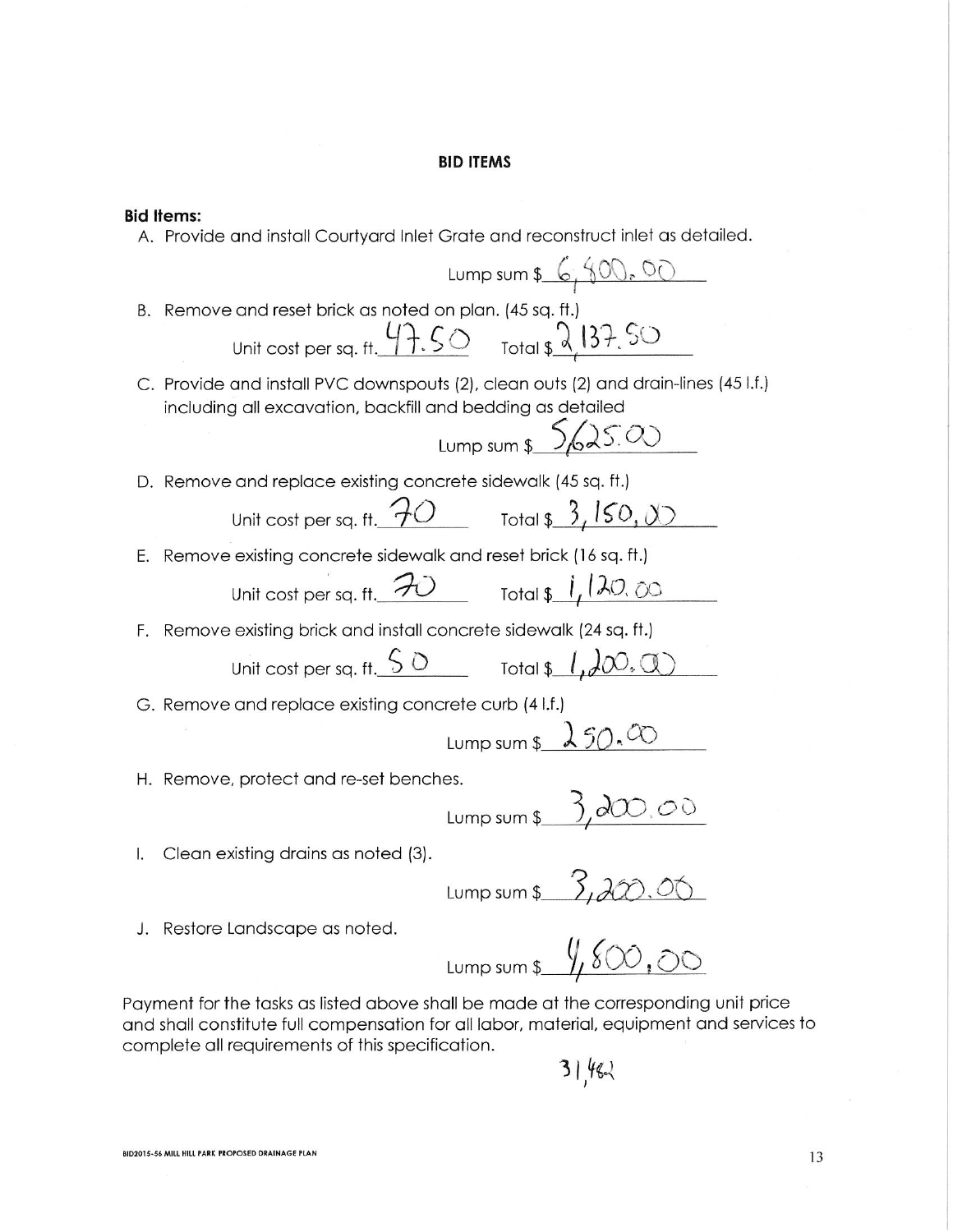#### **BID ITEMS**

**Bid Items:** 

A. Provide and install Courtyard Inlet Grate and reconstruct inlet as detailed. Lump sum  $6, 600, 00$ B. Remove and reset brick as noted on plan. (45 sq. ft.) Unit cost per sq. ft.  $47.50$  Total  $\sqrt{2137.50}$ C. Provide and install PVC downspouts (2), clean outs (2) and drain-lines (45 l.f.) including all excavation, backfill and bedding as detailed Lump sum  $\frac{5}{625.00}$ D. Remove and replace existing concrete sidewalk (45 sq. ft.) Unit cost per sq. ft.  $70$  Total \$ 3,  $150, 00$ E. Remove existing concrete sidewalk and reset brick (16 sq. ft.) Unit cost per sq. ft.  $70$  Total \$ 1, 120, 00 F. Remove existing brick and install concrete sidewalk (24 sq. ft.) Unit cost per sq. ft.  $\frac{50}{0}$  Total  $\frac{1}{4}$   $\sqrt{0.0}$ G. Remove and replace existing concrete curb (4 l.f.) Lump sum  $\sqrt{250.00}$ H. Remove, protect and re-set benches. Lump sum  $\frac{3,200,00}{2}$ <br>Lump sum  $\frac{3,200,00}{2}$ Clean existing drains as noted (3).  $\mathbf{L}$ J. Restore Landscape as noted.

Lump sum  $\sqrt[6]{\text{SO0},\text{SO}}$ 

Payment for the tasks as listed above shall be made at the corresponding unit price and shall constitute full compensation for all labor, material, equipment and services to complete all requirements of this specification.

 $3146$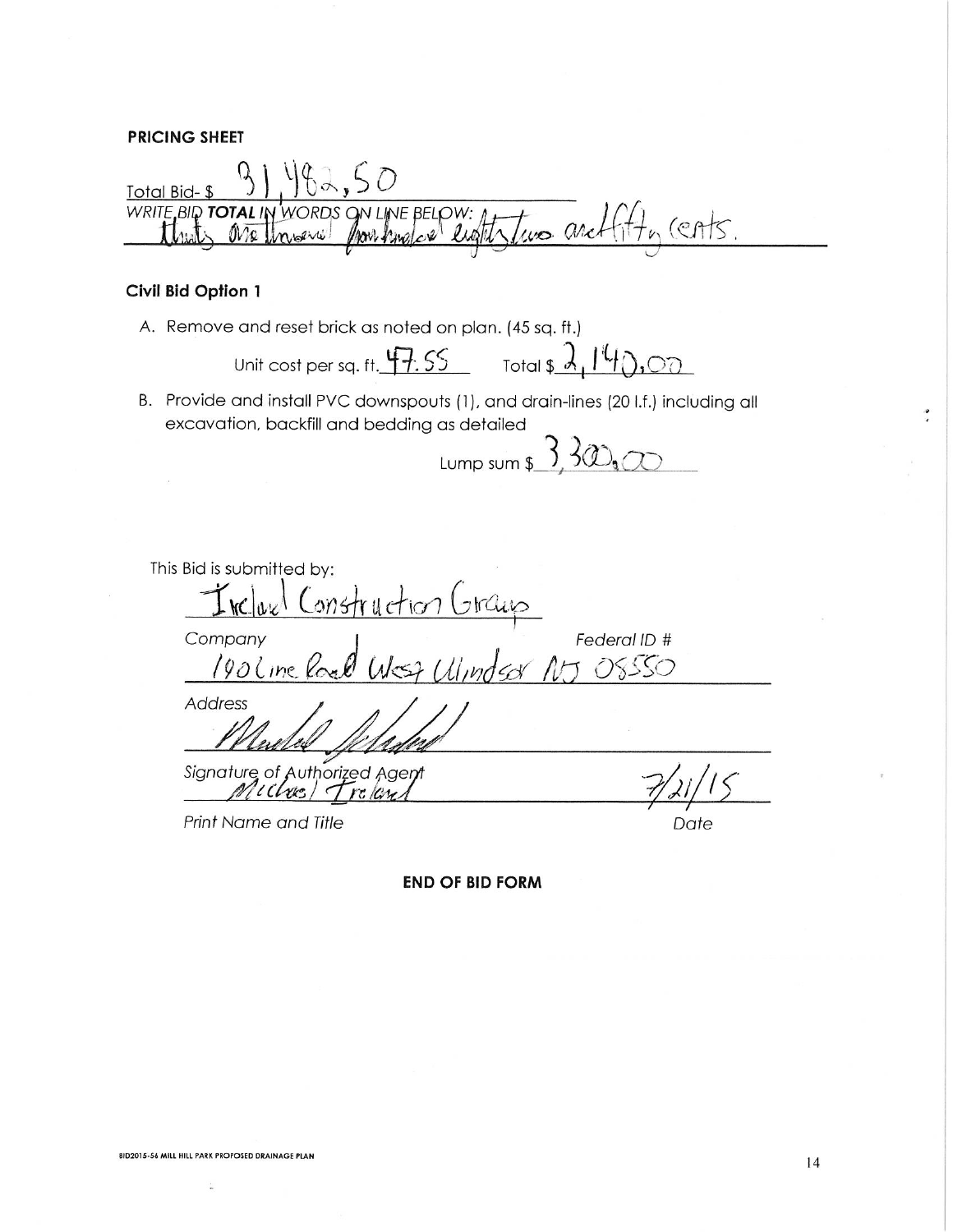### **PRICING SHEET**

482.50 Total Bid-\$ WRITE BID TOTAL IN WORDS ON LINE BELOW: 4 TWO and fifty (CATS.

## Civil Bid Option 1

A. Remove and reset brick as noted on plan. (45 sq. ft.)

Unit cost per sq. ft.  $47.55$  Total \$  $2.140,00$ 

B. Provide and install PVC downspouts (1), and drain-lines (20 l.f.) including all excavation, backfill and bedding as detailed

Lump sum  $\frac{3}{2}300$ 

This Bid is submitted by: Incluel Construction Graup<br>mpany<br>1906 ine Road West Ulindsor Company Federal ID # つくくくつ **Address** 

Signature of Authorized Agent

Print Name and Title

Date

**END OF BID FORM**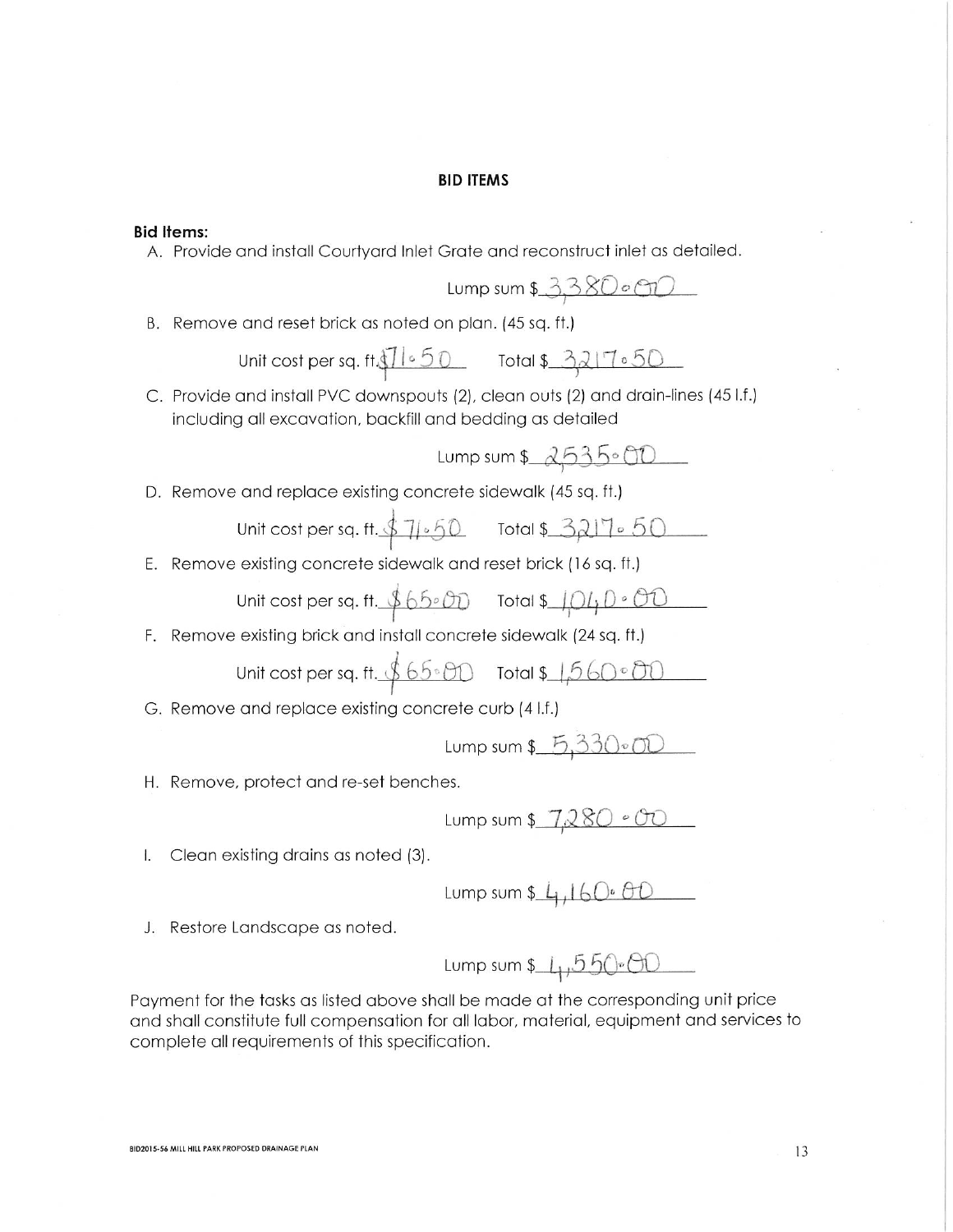#### **BID ITEMS**

#### **Bid Items:**

A. Provide and install Courtyard Inlet Grate and reconstruct inlet as detailed.

$$
Lump sum $3,380.600
$$

B. Remove and reset brick as noted on plan. (45 sq. ft.)

Unit cost per sq. ft. 
$$
\sqrt[3]{1 \cdot 50}
$$
 Total \$3217.50

C. Provide and install PVC downspouts (2), clean outs (2) and drain-lines (45 l.f.) including all excavation, backfill and bedding as detailed

$$
Lump sum
$$
  $2535.00$ 

D. Remove and replace existing concrete sidewalk (45 sq. ft.)

Unit cost per sq. ft. 
$$
1.67
$$

E. Remove existing concrete sidewalk and reset brick (16 sq. ft.)

Unit cost per sq. ft. 
$$
66\cdot00
$$
 Total \$1040°00

F. Remove existing brick and install concrete sidewalk (24 sq. ft.)

Unit cost per sq. ft. 
$$
65.00
$$
 Total \$1,560.00

G. Remove and replace existing concrete curb (4 l.f.)

Lump sum  $$5,33000$ 

H. Remove, protect and re-set benches.

Lump sum  $$7,280°$ 

I. Clean existing drains as noted (3).

Lump sum  $\frac{1}{4}$ , 160.00

J. Restore Landscape as noted.

Lump sum  $1,550.00$ 

Payment for the tasks as listed above shall be made at the corresponding unit price and shall constitute full compensation for all labor, material, equipment and services to complete all requirements of this specification.